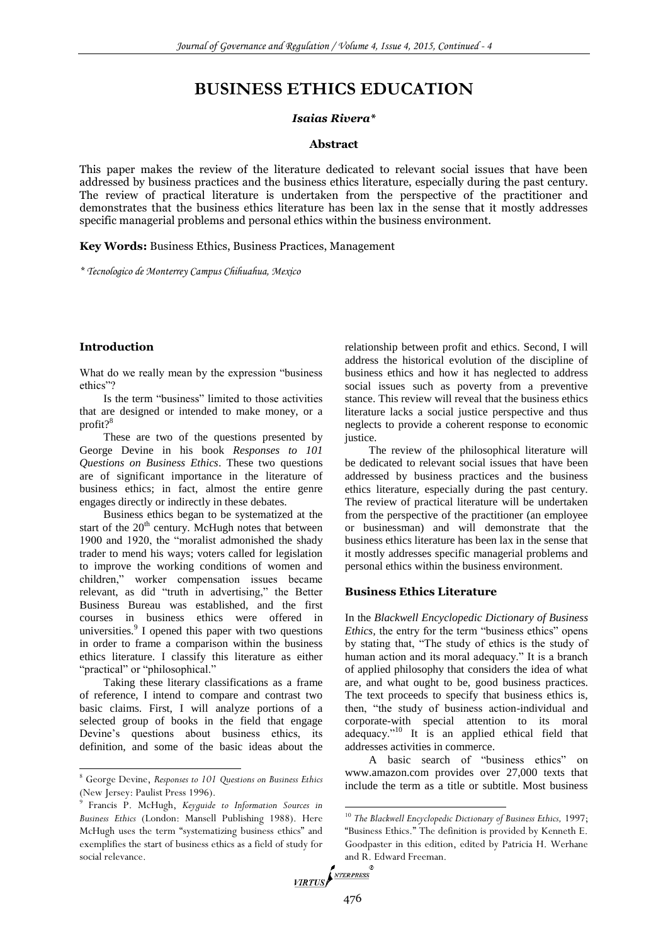# **BUSINESS ETHICS EDUCATION**

### *Isaias Rivera\**

#### **Abstract**

This paper makes the review of the literature dedicated to relevant social issues that have been addressed by business practices and the business ethics literature, especially during the past century. The review of practical literature is undertaken from the perspective of the practitioner and demonstrates that the business ethics literature has been lax in the sense that it mostly addresses specific managerial problems and personal ethics within the business environment.

**Key Words:** Business Ethics, Business Practices, Management

*\* Tecnologico de Monterrey Campus Chihuahua, Mexico*

#### **Introduction**

 $\overline{a}$ 

What do we really mean by the expression "business ethics"?

Is the term "business" limited to those activities that are designed or intended to make money, or a profit?<sup>8</sup>

These are two of the questions presented by George Devine in his book *Responses to 101 Questions on Business Ethics*. These two questions are of significant importance in the literature of business ethics; in fact, almost the entire genre engages directly or indirectly in these debates.

Business ethics began to be systematized at the start of the  $20<sup>th</sup>$  century. McHugh notes that between 1900 and 1920, the "moralist admonished the shady trader to mend his ways; voters called for legislation to improve the working conditions of women and children," worker compensation issues became relevant, as did "truth in advertising," the Better Business Bureau was established, and the first courses in business ethics were offered in universities. $\degree$  I opened this paper with two questions in order to frame a comparison within the business ethics literature. I classify this literature as either "practical" or "philosophical."

Taking these literary classifications as a frame of reference, I intend to compare and contrast two basic claims. First, I will analyze portions of a selected group of books in the field that engage Devine's questions about business ethics, its definition, and some of the basic ideas about the

relationship between profit and ethics. Second, I will address the historical evolution of the discipline of business ethics and how it has neglected to address social issues such as poverty from a preventive stance. This review will reveal that the business ethics literature lacks a social justice perspective and thus neglects to provide a coherent response to economic justice.

The review of the philosophical literature will be dedicated to relevant social issues that have been addressed by business practices and the business ethics literature, especially during the past century. The review of practical literature will be undertaken from the perspective of the practitioner (an employee or businessman) and will demonstrate that the business ethics literature has been lax in the sense that it mostly addresses specific managerial problems and personal ethics within the business environment.

#### **Business Ethics Literature**

In the *Blackwell Encyclopedic Dictionary of Business Ethics,* the entry for the term "business ethics" opens by stating that, "The study of ethics is the study of human action and its moral adequacy." It is a branch of applied philosophy that considers the idea of what are, and what ought to be, good business practices. The text proceeds to specify that business ethics is, then, "the study of business action-individual and corporate-with special attention to its moral adequacy."<sup>10</sup> It is an applied ethical field that addresses activities in commerce.

A basic search of "business ethics" on www.amazon.com provides over 27,000 texts that include the term as a title or subtitle. Most business

<sup>8</sup> George Devine, *Responses to 101 Questions on Business Ethics*  (New Jersey: Paulist Press 1996).

<sup>9</sup> Francis P. McHugh, *Keyguide to Information Sources in Business Ethics* (London: Mansell Publishing 1988). Here McHugh uses the term "systematizing business ethics" and exemplifies the start of business ethics as a field of study for social relevance.

<sup>10</sup> *The Blackwell Encyclopedic Dictionary of Business Ethics,* 1997; "Business Ethics." The definition is provided by Kenneth E. Goodpaster in this edition, edited by Patricia H. Werhane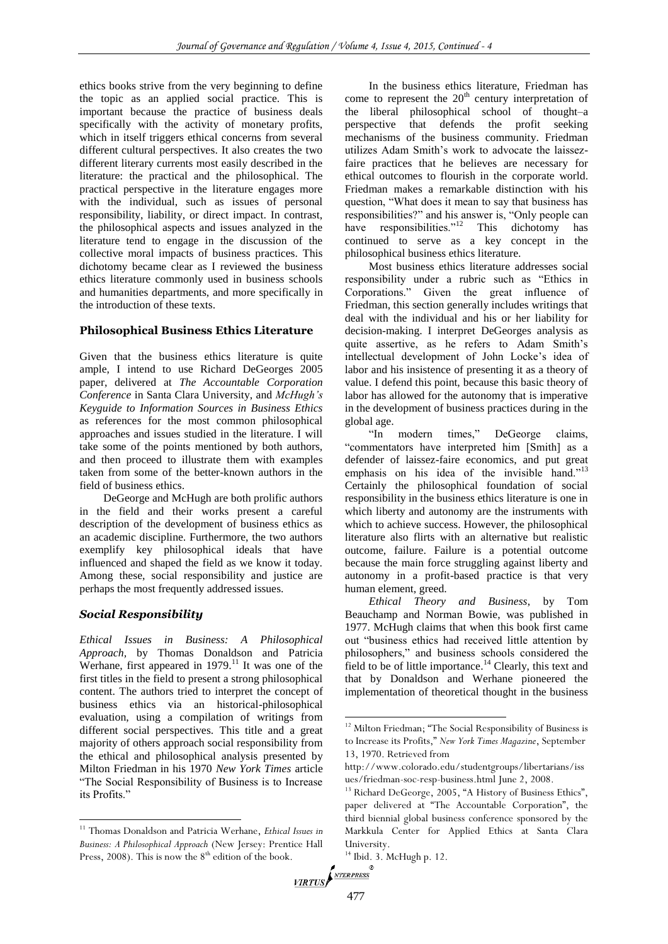ethics books strive from the very beginning to define the topic as an applied social practice. This is important because the practice of business deals specifically with the activity of monetary profits, which in itself triggers ethical concerns from several different cultural perspectives. It also creates the two different literary currents most easily described in the literature: the practical and the philosophical. The practical perspective in the literature engages more with the individual, such as issues of personal responsibility, liability, or direct impact. In contrast, the philosophical aspects and issues analyzed in the literature tend to engage in the discussion of the collective moral impacts of business practices. This dichotomy became clear as I reviewed the business ethics literature commonly used in business schools and humanities departments, and more specifically in the introduction of these texts.

### **Philosophical Business Ethics Literature**

Given that the business ethics literature is quite ample, I intend to use Richard DeGeorges 2005 paper, delivered at *The Accountable Corporation Conference* in Santa Clara University, and *McHugh's Keyguide to Information Sources in Business Ethics* as references for the most common philosophical approaches and issues studied in the literature. I will take some of the points mentioned by both authors, and then proceed to illustrate them with examples taken from some of the better-known authors in the field of business ethics.

DeGeorge and McHugh are both prolific authors in the field and their works present a careful description of the development of business ethics as an academic discipline. Furthermore, the two authors exemplify key philosophical ideals that have influenced and shaped the field as we know it today. Among these, social responsibility and justice are perhaps the most frequently addressed issues.

# *Social Responsibility*

 $\overline{a}$ 

*Ethical Issues in Business: A Philosophical Approach,* by Thomas Donaldson and Patricia Werhane, first appeared in  $1979$ .<sup>11</sup> It was one of the first titles in the field to present a strong philosophical content. The authors tried to interpret the concept of business ethics via an historical-philosophical evaluation, using a compilation of writings from different social perspectives. This title and a great majority of others approach social responsibility from the ethical and philosophical analysis presented by Milton Friedman in his 1970 *New York Times* article "The Social Responsibility of Business is to Increase its Profits."

In the business ethics literature, Friedman has come to represent the  $20<sup>th</sup>$  century interpretation of the liberal philosophical school of thought–a perspective that defends the profit seeking mechanisms of the business community. Friedman utilizes Adam Smith's work to advocate the laissezfaire practices that he believes are necessary for ethical outcomes to flourish in the corporate world. Friedman makes a remarkable distinction with his question, "What does it mean to say that business has responsibilities?" and his answer is, "Only people can have responsibilities."<sup>12</sup> This dichotomy has continued to serve as a key concept in the philosophical business ethics literature.

Most business ethics literature addresses social responsibility under a rubric such as "Ethics in Corporations." Given the great influence of Friedman, this section generally includes writings that deal with the individual and his or her liability for decision-making. I interpret DeGeorges analysis as quite assertive, as he refers to Adam Smith's intellectual development of John Locke's idea of labor and his insistence of presenting it as a theory of value. I defend this point, because this basic theory of labor has allowed for the autonomy that is imperative in the development of business practices during in the global age.

"In modern times," DeGeorge claims, "commentators have interpreted him [Smith] as a defender of laissez-faire economics, and put great emphasis on his idea of the invisible hand."<sup>13</sup> Certainly the philosophical foundation of social responsibility in the business ethics literature is one in which liberty and autonomy are the instruments with which to achieve success. However, the philosophical literature also flirts with an alternative but realistic outcome, failure. Failure is a potential outcome because the main force struggling against liberty and autonomy in a profit-based practice is that very human element, greed.

*Ethical Theory and Business*, by Tom Beauchamp and Norman Bowie, was published in 1977. McHugh claims that when this book first came out "business ethics had received little attention by philosophers," and business schools considered the field to be of little importance.<sup>14</sup> Clearly, this text and that by Donaldson and Werhane pioneered the implementation of theoretical thought in the business

<sup>11</sup> Thomas Donaldson and Patricia Werhane, *Ethical Issues in Business: A Philosophical Approach* (New Jersey: Prentice Hall Press, 2008). This is now the  $8<sup>th</sup>$  edition of the book.

<sup>&</sup>lt;sup>12</sup> Milton Friedman; "The Social Responsibility of Business is to Increase its Profits," *New York Times Magazine*, September 13, 1970. Retrieved from

http://www.colorado.edu/studentgroups/libertarians/iss ues/friedman-soc-resp-business.html June 2, 2008.

<sup>&</sup>lt;sup>13</sup> Richard DeGeorge, 2005, "A History of Business Ethics", paper delivered at "The Accountable Corporation", the third biennial global business conference sponsored by the Markkula Center for Applied Ethics at Santa Clara University.

 $14$  Ibid. 3. McHugh p. 12.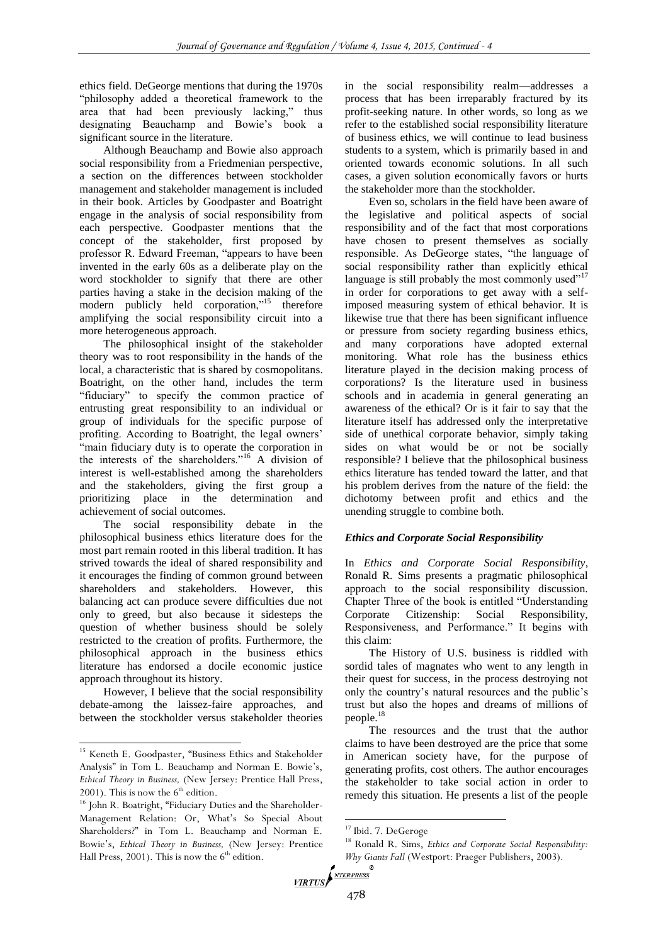ethics field. DeGeorge mentions that during the 1970s "philosophy added a theoretical framework to the area that had been previously lacking," thus designating Beauchamp and Bowie's book a significant source in the literature.

Although Beauchamp and Bowie also approach social responsibility from a Friedmenian perspective, a section on the differences between stockholder management and stakeholder management is included in their book. Articles by Goodpaster and Boatright engage in the analysis of social responsibility from each perspective. Goodpaster mentions that the concept of the stakeholder, first proposed by professor R. Edward Freeman, "appears to have been invented in the early 60s as a deliberate play on the word stockholder to signify that there are other parties having a stake in the decision making of the modern publicly held corporation."<sup>15</sup> therefore amplifying the social responsibility circuit into a more heterogeneous approach.

The philosophical insight of the stakeholder theory was to root responsibility in the hands of the local, a characteristic that is shared by cosmopolitans. Boatright, on the other hand, includes the term "fiduciary" to specify the common practice of entrusting great responsibility to an individual or group of individuals for the specific purpose of profiting. According to Boatright, the legal owners' "main fiduciary duty is to operate the corporation in the interests of the shareholders."<sup>16</sup> A division of interest is well-established among the shareholders and the stakeholders, giving the first group a prioritizing place in the determination and achievement of social outcomes.

The social responsibility debate in the philosophical business ethics literature does for the most part remain rooted in this liberal tradition. It has strived towards the ideal of shared responsibility and it encourages the finding of common ground between shareholders and stakeholders. However, this balancing act can produce severe difficulties due not only to greed, but also because it sidesteps the question of whether business should be solely restricted to the creation of profits. Furthermore, the philosophical approach in the business ethics literature has endorsed a docile economic justice approach throughout its history.

However, I believe that the social responsibility debate-among the laissez-faire approaches, and between the stockholder versus stakeholder theories

 $\overline{a}$ 

in the social responsibility realm—addresses a process that has been irreparably fractured by its profit-seeking nature. In other words, so long as we refer to the established social responsibility literature of business ethics, we will continue to lead business students to a system, which is primarily based in and oriented towards economic solutions. In all such cases, a given solution economically favors or hurts the stakeholder more than the stockholder.

Even so, scholars in the field have been aware of the legislative and political aspects of social responsibility and of the fact that most corporations have chosen to present themselves as socially responsible. As DeGeorge states, "the language of social responsibility rather than explicitly ethical language is still probably the most commonly used $17$ in order for corporations to get away with a selfimposed measuring system of ethical behavior. It is likewise true that there has been significant influence or pressure from society regarding business ethics, and many corporations have adopted external monitoring. What role has the business ethics literature played in the decision making process of corporations? Is the literature used in business schools and in academia in general generating an awareness of the ethical? Or is it fair to say that the literature itself has addressed only the interpretative side of unethical corporate behavior, simply taking sides on what would be or not be socially responsible? I believe that the philosophical business ethics literature has tended toward the latter, and that his problem derives from the nature of the field: the dichotomy between profit and ethics and the unending struggle to combine both.

# *Ethics and Corporate Social Responsibility*

In *Ethics and Corporate Social Responsibility*, Ronald R. Sims presents a pragmatic philosophical approach to the social responsibility discussion. Chapter Three of the book is entitled "Understanding Corporate Citizenship: Social Responsibility, Responsiveness, and Performance." It begins with this claim:

The History of U.S. business is riddled with sordid tales of magnates who went to any length in their quest for success, in the process destroying not only the country's natural resources and the public's trust but also the hopes and dreams of millions of people.<sup>18</sup>

The resources and the trust that the author claims to have been destroyed are the price that some in American society have, for the purpose of generating profits, cost others. The author encourages the stakeholder to take social action in order to remedy this situation. He presents a list of the people

<sup>15</sup> Keneth E. Goodpaster, "Business Ethics and Stakeholder Analysis" in Tom L. Beauchamp and Norman E. Bowie's, *Ethical Theory in Business,* (New Jersey: Prentice Hall Press, 2001). This is now the  $6<sup>th</sup>$  edition.

<sup>&</sup>lt;sup>16</sup> John R. Boatright, "Fiduciary Duties and the Shareholder-Management Relation: Or, What's So Special About Shareholders?" in Tom L. Beauchamp and Norman E. Bowie's, *Ethical Theory in Business,* (New Jersey: Prentice Hall Press,  $2001$ ). This is now the  $6<sup>th</sup>$  edition.

<sup>&</sup>lt;sup>17</sup> Ibid. 7. DeGeroge

<sup>18</sup> Ronald R. Sims, *Ethics and Corporate Social Responsibility: Why Giants Fall* (Westport: Praeger Publishers, 2003).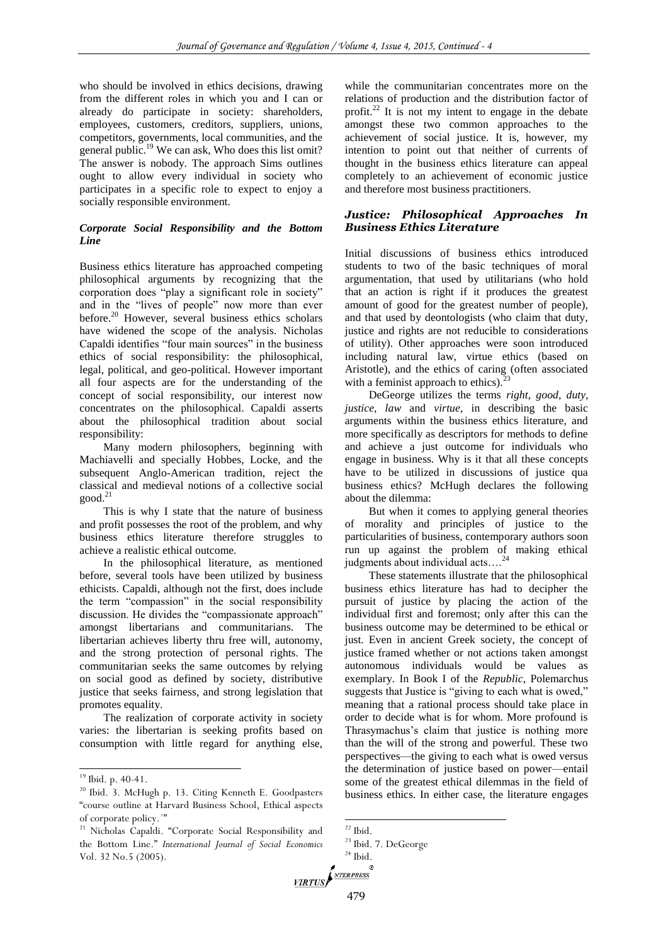who should be involved in ethics decisions, drawing from the different roles in which you and I can or already do participate in society: shareholders, employees, customers, creditors, suppliers, unions, competitors, governments, local communities, and the general public.<sup>19</sup> We can ask, Who does this list omit? The answer is nobody. The approach Sims outlines ought to allow every individual in society who participates in a specific role to expect to enjoy a socially responsible environment.

# *Corporate Social Responsibility and the Bottom Line*

Business ethics literature has approached competing philosophical arguments by recognizing that the corporation does "play a significant role in society" and in the "lives of people" now more than ever before.<sup>20</sup> However, several business ethics scholars have widened the scope of the analysis. Nicholas Capaldi identifies "four main sources" in the business ethics of social responsibility: the philosophical, legal, political, and geo-political. However important all four aspects are for the understanding of the concept of social responsibility, our interest now concentrates on the philosophical. Capaldi asserts about the philosophical tradition about social responsibility:

Many modern philosophers, beginning with Machiavelli and specially Hobbes, Locke, and the subsequent Anglo-American tradition, reject the classical and medieval notions of a collective social  $good.<sup>21</sup>$ 

This is why I state that the nature of business and profit possesses the root of the problem, and why business ethics literature therefore struggles to achieve a realistic ethical outcome.

In the philosophical literature, as mentioned before, several tools have been utilized by business ethicists. Capaldi, although not the first, does include the term "compassion" in the social responsibility discussion. He divides the "compassionate approach" amongst libertarians and communitarians. The libertarian achieves liberty thru free will, autonomy, and the strong protection of personal rights. The communitarian seeks the same outcomes by relying on social good as defined by society, distributive justice that seeks fairness, and strong legislation that promotes equality.

The realization of corporate activity in society varies: the libertarian is seeking profits based on consumption with little regard for anything else,

 $\overline{a}$ 

while the communitarian concentrates more on the relations of production and the distribution factor of profit. $^{22}$  It is not my intent to engage in the debate amongst these two common approaches to the achievement of social justice. It is, however, my intention to point out that neither of currents of thought in the business ethics literature can appeal completely to an achievement of economic justice and therefore most business practitioners.

## *Justice: Philosophical Approaches In Business Ethics Literature*

Initial discussions of business ethics introduced students to two of the basic techniques of moral argumentation, that used by utilitarians (who hold that an action is right if it produces the greatest amount of good for the greatest number of people), and that used by deontologists (who claim that duty, justice and rights are not reducible to considerations of utility). Other approaches were soon introduced including natural law, virtue ethics (based on Aristotle), and the ethics of caring (often associated with a feminist approach to ethics).

DeGeorge utilizes the terms *right, good, duty, justice, law* and *virtue,* in describing the basic arguments within the business ethics literature, and more specifically as descriptors for methods to define and achieve a just outcome for individuals who engage in business. Why is it that all these concepts have to be utilized in discussions of justice qua business ethics? McHugh declares the following about the dilemma:

But when it comes to applying general theories of morality and principles of justice to the particularities of business, contemporary authors soon run up against the problem of making ethical judgments about individual acts....<sup>24</sup>

These statements illustrate that the philosophical business ethics literature has had to decipher the pursuit of justice by placing the action of the individual first and foremost; only after this can the business outcome may be determined to be ethical or just. Even in ancient Greek society, the concept of justice framed whether or not actions taken amongst autonomous individuals would be values as exemplary. In Book I of the *Republic*, Polemarchus suggests that Justice is "giving to each what is owed," meaning that a rational process should take place in order to decide what is for whom. More profound is Thrasymachus's claim that justice is nothing more than the will of the strong and powerful. These two perspectives—the giving to each what is owed versus the determination of justice based on power—entail some of the greatest ethical dilemmas in the field of business ethics. In either case, the literature engages

<sup>&</sup>lt;sup>19</sup> Ibid. p. 40-41.

<sup>20</sup> Ibid. 3. McHugh p. 13. Citing Kenneth E. Goodpasters "course outline at Harvard Business School, Ethical aspects of corporate policy.´"

<sup>&</sup>lt;sup>21</sup> Nicholas Capaldi. "Corporate Social Responsibility and the Bottom Line." *International Journal of Social Economics* Vol. 32 No.5 (2005).

 $22$  Ibid.

<sup>23</sup> Ibid. 7. DeGeorge  $^{24}$  Ibid.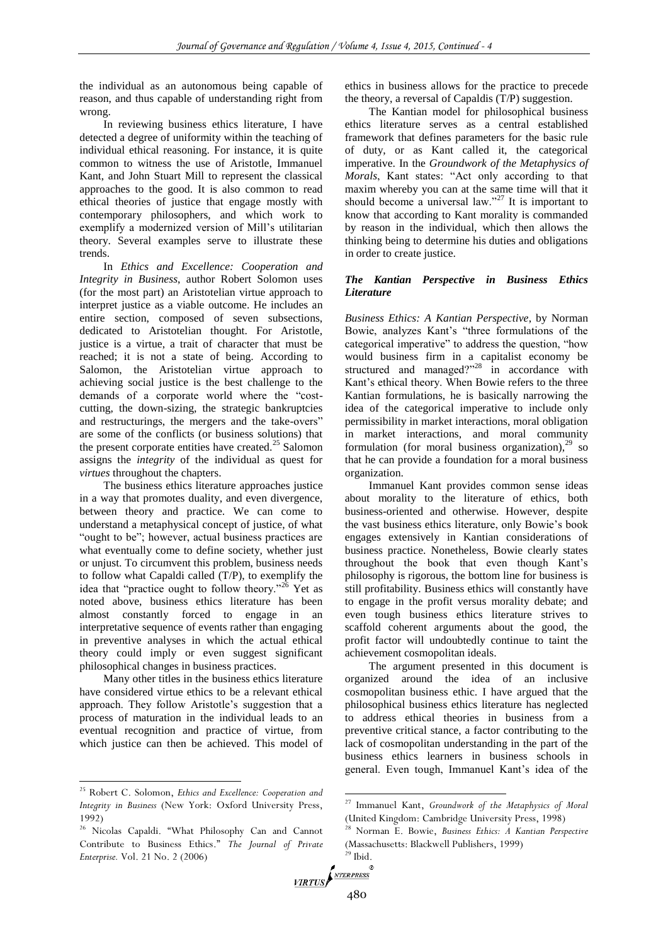the individual as an autonomous being capable of reason, and thus capable of understanding right from wrong.

In reviewing business ethics literature, I have detected a degree of uniformity within the teaching of individual ethical reasoning. For instance, it is quite common to witness the use of Aristotle, Immanuel Kant, and John Stuart Mill to represent the classical approaches to the good. It is also common to read ethical theories of justice that engage mostly with contemporary philosophers, and which work to exemplify a modernized version of Mill's utilitarian theory. Several examples serve to illustrate these trends.

In *Ethics and Excellence: Cooperation and Integrity in Business*, author Robert Solomon uses (for the most part) an Aristotelian virtue approach to interpret justice as a viable outcome. He includes an entire section, composed of seven subsections, dedicated to Aristotelian thought. For Aristotle, justice is a virtue, a trait of character that must be reached; it is not a state of being. According to Salomon, the Aristotelian virtue approach to achieving social justice is the best challenge to the demands of a corporate world where the "costcutting, the down-sizing, the strategic bankruptcies and restructurings, the mergers and the take-overs" are some of the conflicts (or business solutions) that the present corporate entities have created. $^{25}$  Salomon assigns the *integrity* of the individual as quest for *virtues* throughout the chapters.

The business ethics literature approaches justice in a way that promotes duality, and even divergence, between theory and practice. We can come to understand a metaphysical concept of justice, of what "ought to be"; however, actual business practices are what eventually come to define society, whether just or unjust. To circumvent this problem, business needs to follow what Capaldi called (T/P), to exemplify the idea that "practice ought to follow theory."<sup>26</sup> Yet as noted above, business ethics literature has been almost constantly forced to engage in an interpretative sequence of events rather than engaging in preventive analyses in which the actual ethical theory could imply or even suggest significant philosophical changes in business practices.

Many other titles in the business ethics literature have considered virtue ethics to be a relevant ethical approach. They follow Aristotle's suggestion that a process of maturation in the individual leads to an eventual recognition and practice of virtue, from which justice can then be achieved. This model of

l

ethics in business allows for the practice to precede the theory, a reversal of Capaldis (T/P) suggestion.

The Kantian model for philosophical business ethics literature serves as a central established framework that defines parameters for the basic rule of duty, or as Kant called it, the categorical imperative. In the *Groundwork of the Metaphysics of Morals*, Kant states: "Act only according to that maxim whereby you can at the same time will that it should become a universal law."<sup>27</sup> It is important to know that according to Kant morality is commanded by reason in the individual, which then allows the thinking being to determine his duties and obligations in order to create justice.

### *The Kantian Perspective in Business Ethics Literature*

*Business Ethics: A Kantian Perspective*, by Norman Bowie, analyzes Kant's "three formulations of the categorical imperative" to address the question, "how would business firm in a capitalist economy be structured and managed?"<sup>28</sup> in accordance with Kant's ethical theory. When Bowie refers to the three Kantian formulations, he is basically narrowing the idea of the categorical imperative to include only permissibility in market interactions, moral obligation in market interactions, and moral community formulation (for moral business organization), $^{29}$  so that he can provide a foundation for a moral business organization.

Immanuel Kant provides common sense ideas about morality to the literature of ethics, both business-oriented and otherwise. However, despite the vast business ethics literature, only Bowie's book engages extensively in Kantian considerations of business practice. Nonetheless, Bowie clearly states throughout the book that even though Kant's philosophy is rigorous, the bottom line for business is still profitability. Business ethics will constantly have to engage in the profit versus morality debate; and even tough business ethics literature strives to scaffold coherent arguments about the good, the profit factor will undoubtedly continue to taint the achievement cosmopolitan ideals.

The argument presented in this document is organized around the idea of an inclusive cosmopolitan business ethic. I have argued that the philosophical business ethics literature has neglected to address ethical theories in business from a preventive critical stance, a factor contributing to the lack of cosmopolitan understanding in the part of the business ethics learners in business schools in general. Even tough, Immanuel Kant's idea of the

<sup>25</sup> Robert C. Solomon, *Ethics and Excellence: Cooperation and Integrity in Business* (New York: Oxford University Press, 1992)

<sup>26</sup> Nicolas Capaldi. "What Philosophy Can and Cannot Contribute to Business Ethics." *The Journal of Private Enterprise.* Vol. 21 No. 2 (2006)

<sup>27</sup> Immanuel Kant, *Groundwork of the Metaphysics of Moral* (United Kingdom: Cambridge University Press, 1998)

<sup>28</sup> Norman E. Bowie, *Business Ethics: A Kantian Perspective* (Massachusetts: Blackwell Publishers, 1999)  $29$  Ibid.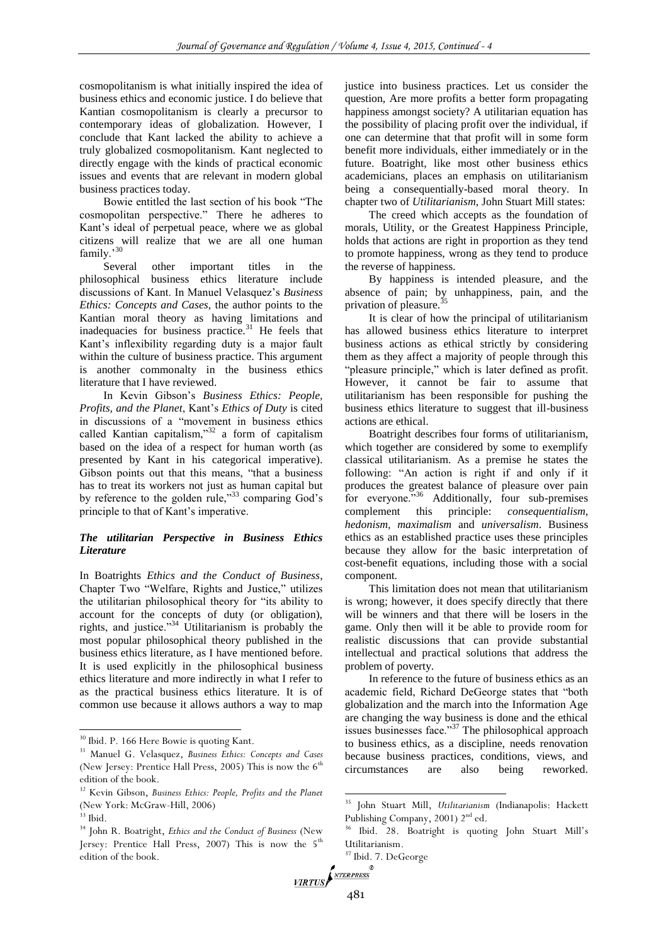cosmopolitanism is what initially inspired the idea of business ethics and economic justice. I do believe that Kantian cosmopolitanism is clearly a precursor to contemporary ideas of globalization. However, I conclude that Kant lacked the ability to achieve a truly globalized cosmopolitanism. Kant neglected to directly engage with the kinds of practical economic issues and events that are relevant in modern global business practices today.

Bowie entitled the last section of his book "The cosmopolitan perspective." There he adheres to Kant's ideal of perpetual peace, where we as global citizens will realize that we are all one human family.'<sup>30</sup>

Several other important titles in the philosophical business ethics literature include discussions of Kant. In Manuel Velasquez's *Business Ethics: Concepts and Cases*, the author points to the Kantian moral theory as having limitations and inadequacies for business practice.<sup>31</sup> He feels that Kant's inflexibility regarding duty is a major fault within the culture of business practice. This argument is another commonalty in the business ethics literature that I have reviewed.

In Kevin Gibson's *Business Ethics: People, Profits, and the Planet*, Kant's *Ethics of Duty* is cited in discussions of a "movement in business ethics called Kantian capitalism,"<sup>32</sup> a form of capitalism based on the idea of a respect for human worth (as presented by Kant in his categorical imperative). Gibson points out that this means, "that a business has to treat its workers not just as human capital but by reference to the golden rule,"<sup>33</sup> comparing God's principle to that of Kant's imperative.

# *The utilitarian Perspective in Business Ethics Literature*

In Boatrights *Ethics and the Conduct of Business*, Chapter Two "Welfare, Rights and Justice," utilizes the utilitarian philosophical theory for "its ability to account for the concepts of duty (or obligation), rights, and justice."<sup>34</sup> Utilitarianism is probably the most popular philosophical theory published in the business ethics literature, as I have mentioned before. It is used explicitly in the philosophical business ethics literature and more indirectly in what I refer to as the practical business ethics literature. It is of common use because it allows authors a way to map

 $\overline{a}$ 

justice into business practices. Let us consider the question, Are more profits a better form propagating happiness amongst society? A utilitarian equation has the possibility of placing profit over the individual, if one can determine that that profit will in some form benefit more individuals, either immediately or in the future. Boatright, like most other business ethics academicians, places an emphasis on utilitarianism being a consequentially-based moral theory. In chapter two of *Utilitarianism*, John Stuart Mill states:

The creed which accepts as the foundation of morals, Utility, or the Greatest Happiness Principle, holds that actions are right in proportion as they tend to promote happiness, wrong as they tend to produce the reverse of happiness.

By happiness is intended pleasure, and the absence of pain; by unhappiness, pain, and the privation of pleasure.<sup>3</sup>

It is clear of how the principal of utilitarianism has allowed business ethics literature to interpret business actions as ethical strictly by considering them as they affect a majority of people through this "pleasure principle," which is later defined as profit. However, it cannot be fair to assume that utilitarianism has been responsible for pushing the business ethics literature to suggest that ill-business actions are ethical.

Boatright describes four forms of utilitarianism, which together are considered by some to exemplify classical utilitarianism. As a premise he states the following: "An action is right if and only if it produces the greatest balance of pleasure over pain for everyone.<sup>36</sup> Additionally, four sub-premises complement this principle: *consequentialism, hedonism, maximalism* and *universalism*. Business ethics as an established practice uses these principles because they allow for the basic interpretation of cost-benefit equations, including those with a social component.

This limitation does not mean that utilitarianism is wrong; however, it does specify directly that there will be winners and that there will be losers in the game. Only then will it be able to provide room for realistic discussions that can provide substantial intellectual and practical solutions that address the problem of poverty.

In reference to the future of business ethics as an academic field, Richard DeGeorge states that "both globalization and the march into the Information Age are changing the way business is done and the ethical issues businesses face."<sup>37</sup> The philosophical approach to business ethics, as a discipline, needs renovation because business practices, conditions, views, and circumstances are also being reworked.

<sup>30</sup> Ibid. P. 166 Here Bowie is quoting Kant.

<sup>31</sup> Manuel G. Velasquez, *Business Ethics: Concepts and Cases*  (New Jersey: Prentice Hall Press, 2005) This is now the  $6<sup>th</sup>$ edition of the book.

<sup>32</sup> Kevin Gibson, *Business Ethics: People, Profits and the Planet*  (New York: McGraw-Hill, 2006)

 $33$  Ibid.

<sup>34</sup> John R. Boatright, *Ethics and the Conduct of Business* (New Jersey: Prentice Hall Press, 2007) This is now the  $5<sup>th</sup>$ edition of the book.

<sup>35</sup> John Stuart Mill, *Utilitarianism* (Indianapolis: Hackett Publishing Company, 2001) 2<sup>nd</sup> ed.

<sup>36</sup> Ibid. 28. Boatright is quoting John Stuart Mill's Utilitarianism.

<sup>37</sup> Ibid. 7. DeGeorge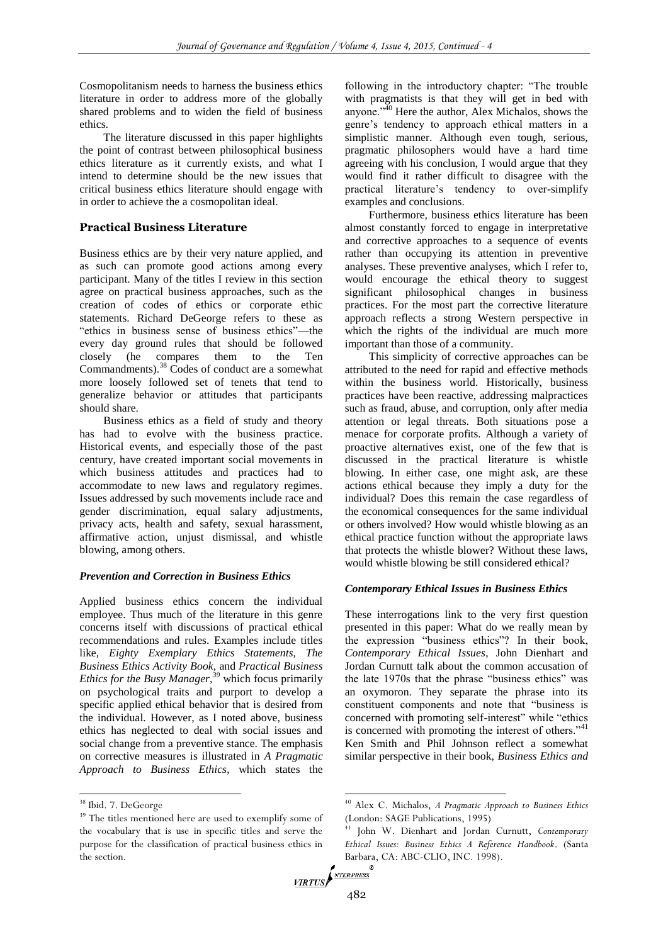Cosmopolitanism needs to harness the business ethics literature in order to address more of the globally shared problems and to widen the field of business ethics.

The literature discussed in this paper highlights the point of contrast between philosophical business ethics literature as it currently exists, and what I intend to determine should be the new issues that critical business ethics literature should engage with in order to achieve the a cosmopolitan ideal.

# **Practical Business Literature**

Business ethics are by their very nature applied, and as such can promote good actions among every participant. Many of the titles I review in this section agree on practical business approaches, such as the creation of codes of ethics or corporate ethic statements. Richard DeGeorge refers to these as "ethics in business sense of business ethics"—the every day ground rules that should be followed closely (he compares them to the Ten Commandments).<sup>38</sup> Codes of conduct are a somewhat more loosely followed set of tenets that tend to generalize behavior or attitudes that participants should share.

Business ethics as a field of study and theory has had to evolve with the business practice. Historical events, and especially those of the past century, have created important social movements in which business attitudes and practices had to accommodate to new laws and regulatory regimes. Issues addressed by such movements include race and gender discrimination, equal salary adjustments, privacy acts, health and safety, sexual harassment, affirmative action, unjust dismissal, and whistle blowing, among others.

# *Prevention and Correction in Business Ethics*

Applied business ethics concern the individual employee. Thus much of the literature in this genre concerns itself with discussions of practical ethical recommendations and rules. Examples include titles like, *Eighty Exemplary Ethics Statements, The Business Ethics Activity Book,* and *Practical Business Ethics for the Busy Manager,<sup>39</sup>* which focus primarily on psychological traits and purport to develop a specific applied ethical behavior that is desired from the individual. However, as I noted above, business ethics has neglected to deal with social issues and social change from a preventive stance. The emphasis on corrective measures is illustrated in *A Pragmatic Approach to Business Ethics*, which states the

 $\overline{a}$ 

following in the introductory chapter: "The trouble with pragmatists is that they will get in bed with anyone."<sup>40</sup> Here the author, Alex Michalos, shows the genre's tendency to approach ethical matters in a simplistic manner. Although even tough, serious, pragmatic philosophers would have a hard time agreeing with his conclusion, I would argue that they would find it rather difficult to disagree with the practical literature's tendency to over-simplify examples and conclusions.

Furthermore, business ethics literature has been almost constantly forced to engage in interpretative and corrective approaches to a sequence of events rather than occupying its attention in preventive analyses. These preventive analyses, which I refer to, would encourage the ethical theory to suggest significant philosophical changes in business practices. For the most part the corrective literature approach reflects a strong Western perspective in which the rights of the individual are much more important than those of a community.

This simplicity of corrective approaches can be attributed to the need for rapid and effective methods within the business world. Historically, business practices have been reactive, addressing malpractices such as fraud, abuse, and corruption, only after media attention or legal threats. Both situations pose a menace for corporate profits. Although a variety of proactive alternatives exist, one of the few that is discussed in the practical literature is whistle blowing. In either case, one might ask, are these actions ethical because they imply a duty for the individual? Does this remain the case regardless of the economical consequences for the same individual or others involved? How would whistle blowing as an ethical practice function without the appropriate laws that protects the whistle blower? Without these laws, would whistle blowing be still considered ethical?

# *Contemporary Ethical Issues in Business Ethics*

These interrogations link to the very first question presented in this paper: What do we really mean by the expression "business ethics"? In their book, *Contemporary Ethical Issues*, John Dienhart and Jordan Curnutt talk about the common accusation of the late 1970s that the phrase "business ethics" was an oxymoron. They separate the phrase into its constituent components and note that "business is concerned with promoting self-interest" while "ethics is concerned with promoting the interest of others."<sup>41</sup> Ken Smith and Phil Johnson reflect a somewhat similar perspective in their book, *Business Ethics and* 

<sup>38</sup> Ibid. 7. DeGeorge

<sup>&</sup>lt;sup>39</sup> The titles mentioned here are used to exemplify some of the vocabulary that is use in specific titles and serve the purpose for the classification of practical business ethics in the section.

<sup>40</sup> Alex C. Michalos, *A Pragmatic Approach to Business Ethics* (London: SAGE Publications, 1995)

<sup>41</sup> John W. Dienhart and Jordan Curnutt, *Contemporary Ethical Issues: Business Ethics A Reference Handbook*. (Santa Barbara, CA: ABC-CLIO, INC. 1998).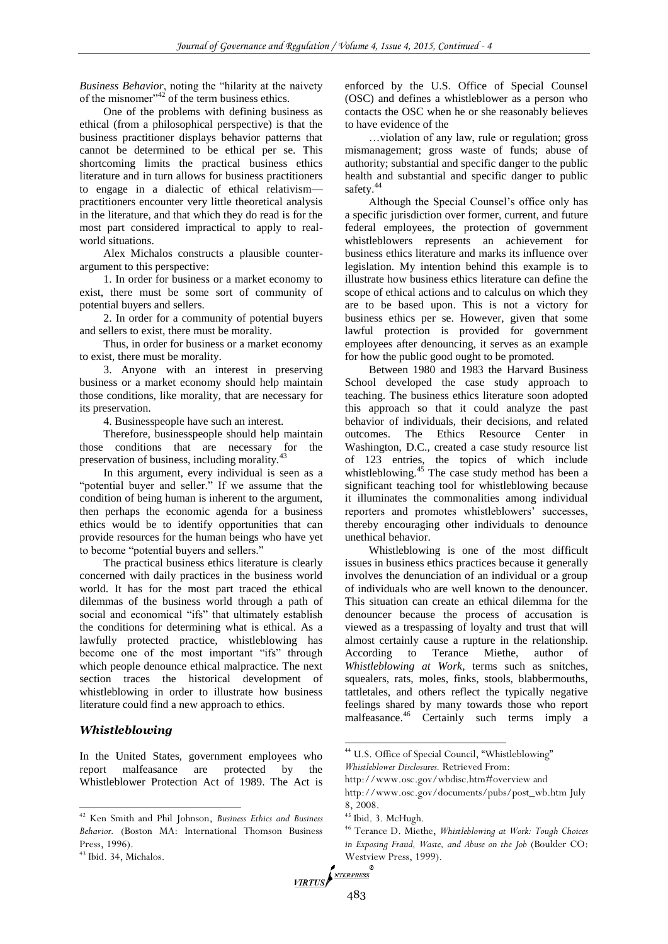*Business Behavior*, noting the "hilarity at the naivety of the misnomer" $^{42}$  of the term business ethics.

One of the problems with defining business as ethical (from a philosophical perspective) is that the business practitioner displays behavior patterns that cannot be determined to be ethical per se. This shortcoming limits the practical business ethics literature and in turn allows for business practitioners to engage in a dialectic of ethical relativism practitioners encounter very little theoretical analysis in the literature, and that which they do read is for the most part considered impractical to apply to realworld situations.

Alex Michalos constructs a plausible counterargument to this perspective:

1. In order for business or a market economy to exist, there must be some sort of community of potential buyers and sellers.

2. In order for a community of potential buyers and sellers to exist, there must be morality.

Thus, in order for business or a market economy to exist, there must be morality.

3. Anyone with an interest in preserving business or a market economy should help maintain those conditions, like morality, that are necessary for its preservation.

4. Businesspeople have such an interest.

Therefore, businesspeople should help maintain those conditions that are necessary for the preservation of business, including morality.<sup>43</sup>

In this argument, every individual is seen as a "potential buyer and seller." If we assume that the condition of being human is inherent to the argument, then perhaps the economic agenda for a business ethics would be to identify opportunities that can provide resources for the human beings who have yet to become "potential buyers and sellers."

The practical business ethics literature is clearly concerned with daily practices in the business world world. It has for the most part traced the ethical dilemmas of the business world through a path of social and economical "ifs" that ultimately establish the conditions for determining what is ethical. As a lawfully protected practice, whistleblowing has become one of the most important "ifs" through which people denounce ethical malpractice. The next section traces the historical development of whistleblowing in order to illustrate how business literature could find a new approach to ethics.

# *Whistleblowing*

In the United States, government employees who report malfeasance are protected by the Whistleblower Protection Act of 1989. The Act is

<sup>43</sup> Ibid. 34, Michalos.

 $\overline{a}$ 

enforced by the U.S. Office of Special Counsel (OSC) and defines a whistleblower as a person who contacts the OSC when he or she reasonably believes to have evidence of the

…violation of any law, rule or regulation; gross mismanagement; gross waste of funds; abuse of authority; substantial and specific danger to the public health and substantial and specific danger to public safety.<sup>44</sup>

Although the Special Counsel's office only has a specific jurisdiction over former, current, and future federal employees, the protection of government whistleblowers represents an achievement for business ethics literature and marks its influence over legislation. My intention behind this example is to illustrate how business ethics literature can define the scope of ethical actions and to calculus on which they are to be based upon. This is not a victory for business ethics per se. However, given that some lawful protection is provided for government employees after denouncing, it serves as an example for how the public good ought to be promoted.

Between 1980 and 1983 the Harvard Business School developed the case study approach to teaching. The business ethics literature soon adopted this approach so that it could analyze the past behavior of individuals, their decisions, and related outcomes. The Ethics Resource Center in Washington, D.C., created a case study resource list of 123 entries, the topics of which include whistleblowing.<sup>45</sup> The case study method has been a significant teaching tool for whistleblowing because it illuminates the commonalities among individual reporters and promotes whistleblowers' successes, thereby encouraging other individuals to denounce unethical behavior.

Whistleblowing is one of the most difficult issues in business ethics practices because it generally involves the denunciation of an individual or a group of individuals who are well known to the denouncer. This situation can create an ethical dilemma for the denouncer because the process of accusation is viewed as a trespassing of loyalty and trust that will almost certainly cause a rupture in the relationship. According to Terance Miethe, author of *Whistleblowing at Work*, terms such as snitches, squealers, rats, moles, finks, stools, blabbermouths, tattletales, and others reflect the typically negative feelings shared by many towards those who report malfeasance.<sup>46</sup> Certainly such terms imply a

<sup>42</sup> Ken Smith and Phil Johnson, *Business Ethics and Business Behavior.* (Boston MA: International Thomson Business Press, 1996).

<sup>44</sup> U.S. Office of Special Council, "Whistleblowing" *Whistleblower Disclosures.* Retrieved From:

http://www.osc.gov/wbdisc.htm#overview and

http://www.osc.gov/documents/pubs/post\_wb.htm July 8, 2008.

<sup>45</sup> Ibid. 3. McHugh.

<sup>46</sup> Terance D. Miethe, *Whistleblowing at Work: Tough Choices in Exposing Fraud, Waste, and Abuse on the Job* (Boulder CO: Westview Press, 1999).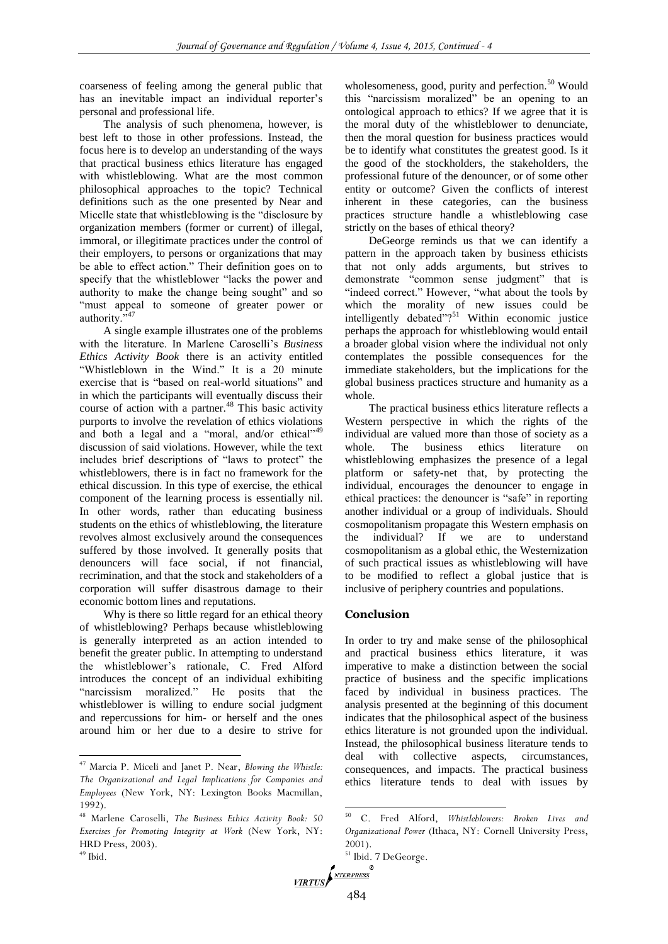coarseness of feeling among the general public that has an inevitable impact an individual reporter's personal and professional life.

The analysis of such phenomena, however, is best left to those in other professions. Instead, the focus here is to develop an understanding of the ways that practical business ethics literature has engaged with whistleblowing. What are the most common philosophical approaches to the topic? Technical definitions such as the one presented by Near and Micelle state that whistleblowing is the "disclosure by organization members (former or current) of illegal, immoral, or illegitimate practices under the control of their employers, to persons or organizations that may be able to effect action." Their definition goes on to specify that the whistleblower "lacks the power and authority to make the change being sought" and so "must appeal to someone of greater power or authority."<sup>47</sup>

A single example illustrates one of the problems with the literature. In Marlene Caroselli's *Business Ethics Activity Book* there is an activity entitled "Whistleblown in the Wind." It is a 20 minute exercise that is "based on real-world situations" and in which the participants will eventually discuss their course of action with a partner.<sup>48</sup> This basic activity purports to involve the revelation of ethics violations and both a legal and a "moral, and/or ethical"<sup>49</sup> discussion of said violations. However, while the text includes brief descriptions of "laws to protect" the whistleblowers, there is in fact no framework for the ethical discussion. In this type of exercise, the ethical component of the learning process is essentially nil. In other words, rather than educating business students on the ethics of whistleblowing, the literature revolves almost exclusively around the consequences suffered by those involved. It generally posits that denouncers will face social, if not financial, recrimination, and that the stock and stakeholders of a corporation will suffer disastrous damage to their economic bottom lines and reputations.

Why is there so little regard for an ethical theory of whistleblowing? Perhaps because whistleblowing is generally interpreted as an action intended to benefit the greater public. In attempting to understand the whistleblower's rationale, C. Fred Alford introduces the concept of an individual exhibiting "narcissism moralized." He posits that the whistleblower is willing to endure social judgment and repercussions for him- or herself and the ones around him or her due to a desire to strive for

 $\overline{a}$ 

wholesomeness, good, purity and perfection.<sup>50</sup> Would this "narcissism moralized" be an opening to an ontological approach to ethics? If we agree that it is the moral duty of the whistleblower to denunciate, then the moral question for business practices would be to identify what constitutes the greatest good. Is it the good of the stockholders, the stakeholders, the professional future of the denouncer, or of some other entity or outcome? Given the conflicts of interest inherent in these categories, can the business practices structure handle a whistleblowing case strictly on the bases of ethical theory?

DeGeorge reminds us that we can identify a pattern in the approach taken by business ethicists that not only adds arguments, but strives to demonstrate "common sense judgment" that is "indeed correct." However, "what about the tools by which the morality of new issues could be intelligently debated $^{7251}$  Within economic justice perhaps the approach for whistleblowing would entail a broader global vision where the individual not only contemplates the possible consequences for the immediate stakeholders, but the implications for the global business practices structure and humanity as a whole.

The practical business ethics literature reflects a Western perspective in which the rights of the individual are valued more than those of society as a whole. The business ethics literature on whistleblowing emphasizes the presence of a legal platform or safety-net that, by protecting the individual, encourages the denouncer to engage in ethical practices: the denouncer is "safe" in reporting another individual or a group of individuals. Should cosmopolitanism propagate this Western emphasis on the individual? If we are to understand cosmopolitanism as a global ethic, the Westernization of such practical issues as whistleblowing will have to be modified to reflect a global justice that is inclusive of periphery countries and populations.

# **Conclusion**

In order to try and make sense of the philosophical and practical business ethics literature, it was imperative to make a distinction between the social practice of business and the specific implications faced by individual in business practices. The analysis presented at the beginning of this document indicates that the philosophical aspect of the business ethics literature is not grounded upon the individual. Instead, the philosophical business literature tends to deal with collective aspects, circumstances, consequences, and impacts. The practical business ethics literature tends to deal with issues by

<sup>47</sup> Marcia P. Miceli and Janet P. Near, *Blowing the Whistle: The Organizational and Legal Implications for Companies and Employees* (New York, NY: Lexington Books Macmillan, 1992).

<sup>48</sup> Marlene Caroselli, *The Business Ethics Activity Book: 50 Exercises for Promoting Integrity at Work* (New York, NY: HRD Press, 2003).  $49$  Ibid.

<sup>50</sup> C. Fred Alford, *Whistleblowers: Broken Lives and Organizational Power* (Ithaca, NY: Cornell University Press, 2001).

<sup>51</sup> Ibid. 7 DeGeorge.

VIRTUS<br>484